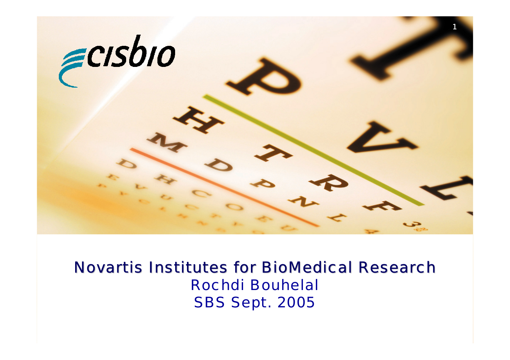

## Novartis Institutes for BioMedical Research Rochdi Bouhelal SBS Sept. 2005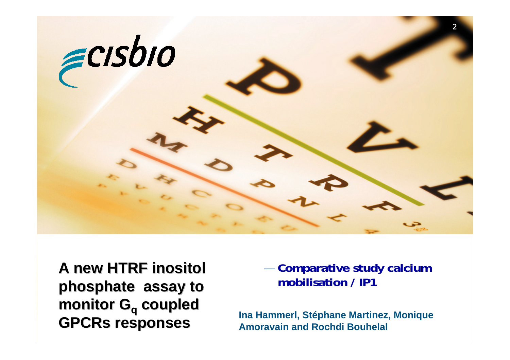

**A new HTRF inositol A new HTRF inositol phosphate assay to phosphate assay to monitor G monitor Gq coupled coupled GPCRs responses GPCRs responses**

— **Comparative study calcium mobilisation / IP1**

**Ina Hammerl, Stéphane Martinez, Monique Amoravain and Rochdi Bouhelal**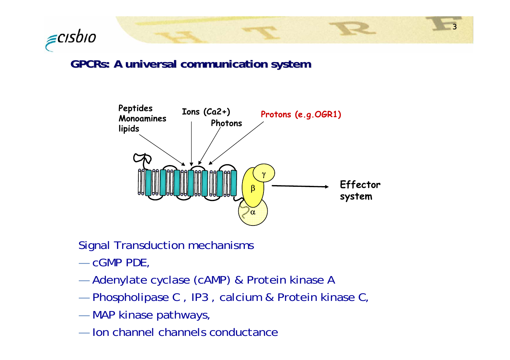

### **GPCRs: A universal communication system GPCRs: A universal communication system**



3

Signal Transduction mechanisms

- cGMP PDE,
- and the control of the control of Adenylate cyclase (cAMP) & Protein kinase A
- — $-$  Phospholipase C , IP3 , calcium & Protein kinase C,
- —MAP kinase pathways,
- Ion channel channels conductance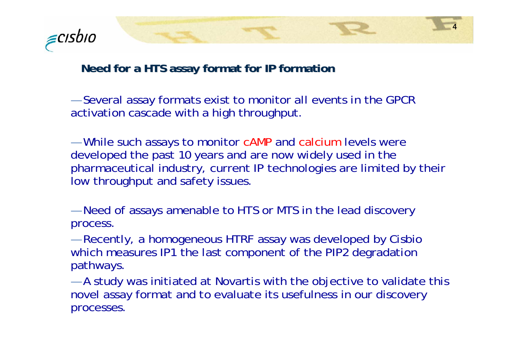

#### **Need for a HTS assay format for IP formation**

— $-$  Several assay formats exist to monitor all events in the GPCR  $\,$ activation cascade with a high throughput.

and the control of the control of While such assays to monitor cAMP and calcium levels were developed the past 10 years and are now widely used in the pharmaceutical industry, current IP technologies are limited by their low throughput and safety issues.

4

and the control of the control of Need of assays amenable to HTS or MTS in the lead discovery process.

and the control of the control of Recently, a homogeneous HTRF assay was developed by Cisbio which measures IP1 the last component of the PIP2 degradation pathways.

and the control of the control of A study was initiated at Novartis with the objective to validate this novel assay format and to evaluate its usefulness in our discovery processes.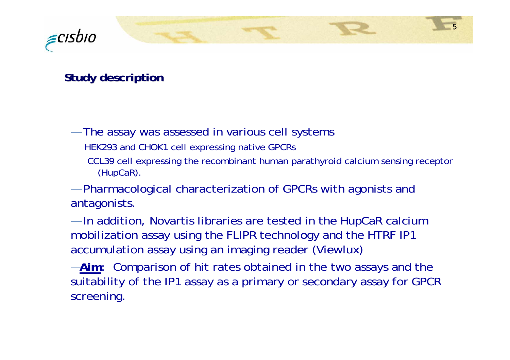

### **Study description Study description**

- — The assay was assessed in various cell systems HEK293 and CHOK1 cell expressing native GPCRs
	- CCL39 cell expressing the recombinant human parathyroid calcium sensing receptor (HupCaR).
- and the control of the control of Pharmacological characterization of GPCRs with agonists and antagonists.
- — $-$  In addition, Novartis libraries are tested in the HupCaR calcium mobilization assay using the FLIPR technology and the HTRF IP1 accumulation assay using an imaging reader (Viewlux)
- —**Aim**: Comparison of hit rates obtained in the two assays and the suitability of the IP1 assay as a primary or secondary assay for GPCR screening.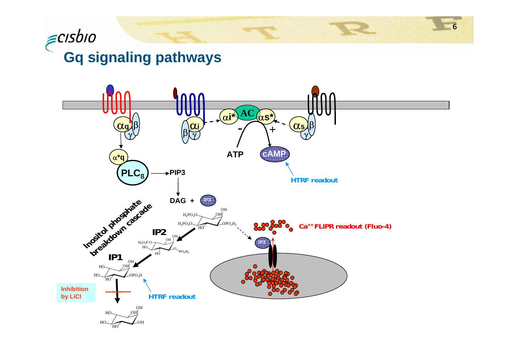# $\epsilon$ cisbio **Gq signaling pathways**

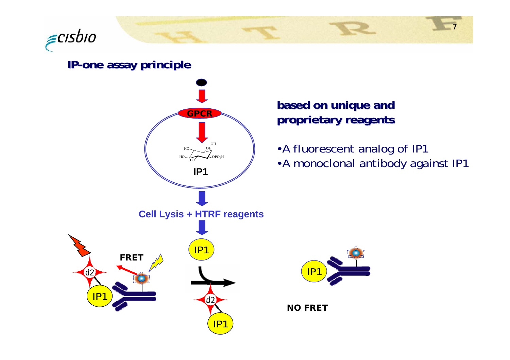

#### **IP-one assay principle principle**

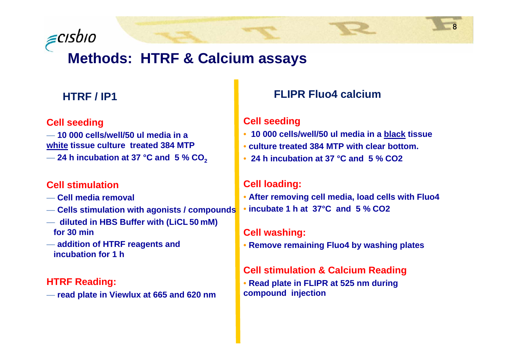

## **Methods: HTRF & Calcium assays**

#### **HTRF / IP1**

#### **Cell seeding**

— **10 000 cells/well/50 ul media in a white tissue culture treated 384 MTP** 

— **24 h incubation at 37 °C and 5 % CO2**

#### **Cell stimulation**

- **Cell media removal**
- **Cells stimulation with agonists / compounds**
- **diluted in HBS Buffer with (LiCL 50 mM) for 30 min**
- **addition of HTRF reagents and incubation for 1 h**

#### **HTRF Reading:**

— **read plate in Viewlux at 665 and 620 nm**

#### **FLIPR Fluo4 calcium**

#### **Cell seeding**

- **10 000 cells/well/50 ul media in a black tissue**
- **culture treated 384 MTP with clear bottom.**
- **24 h incubation at 37 °C and 5 % CO2**

#### **Cell loading:**

- **After removing cell media, load cells with Fluo4 incubate 1 h at 37°C and 5 % CO2**
- •

#### **Cell washing:**

• **Remove remaining Fluo4 by washing plates**

#### **Cell stimulation & Calcium Reading**

• **Read plate in FLIPR at 525 nm during compound injection**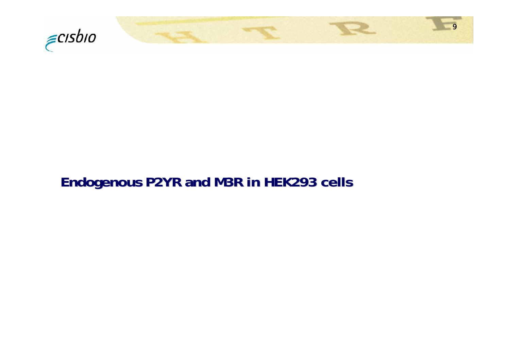

## **Endogenous P2YR and M3R in HEK293 cells Endogenous P2YR and M3R in HEK293 cells**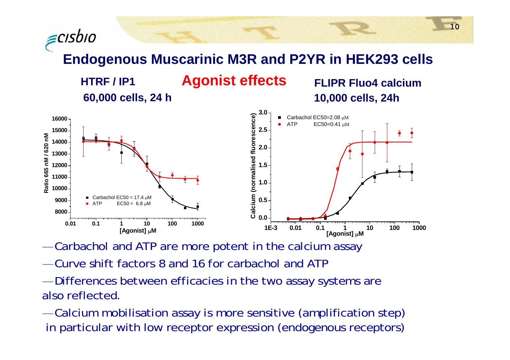≡cısbıo **Endogenous Muscarinic M3R and P2YR in HEK293 cells HTRF / IP1**

**60,000 cells, 24 h 10,000 cells, 24h**

**Agonist effects FLIPR Fluo4 calcium**



and the control of the control of  $-$  Carbachol and ATP are more potent in the calcium assay

- Curve shift factors 8 and 16 for carbachol and ATP
- — Differences between efficacies in the two assay systems are also reflected.

and the state of the state of the Calcium mobilisation assay is more sensitive (amplification step) in particular with low receptor expression (endogenous receptors)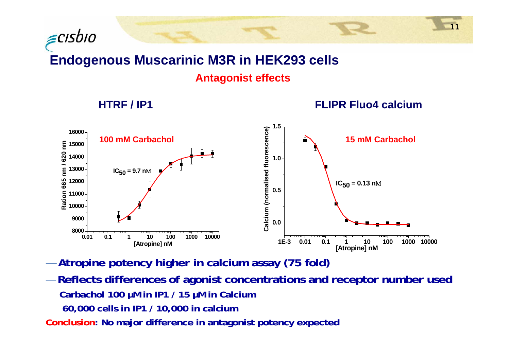## **Endogenous Muscarinic M3R in HEK293 cells Antagonist effects**

**HTRF / IP1**

∈cısbıo





- —**Atropine potency higher in calcium assay (75 fold)**
- — **Reflects differences of agonist concentrations and receptor number used Carbachol 100 µM in IP1 / 15 µM in Calcium 60,000 cells in IP1 / 10,000 in calcium**

**Conclusion: No major difference in antagonist potency expected**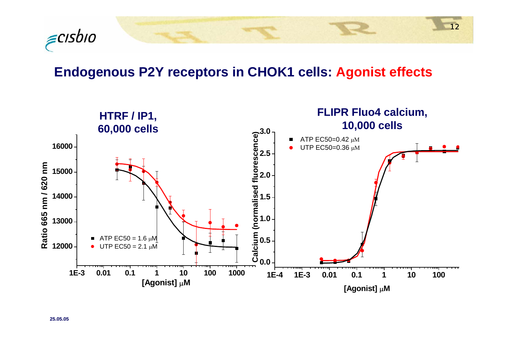

## **Endogenous P2Y receptors in CHOK1 cells: Agonist effects**

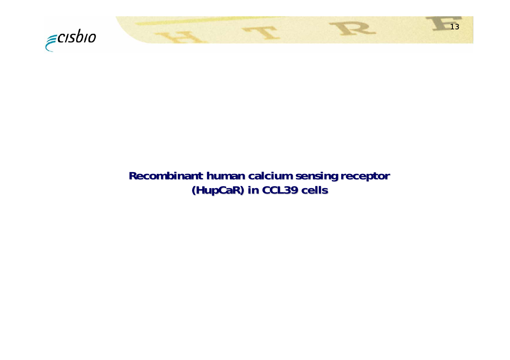

## **Recombinant human calcium sensing receptor Recombinant human calcium sensing receptor (HupCaR) in CCL39 cells (HupCaR) in CCL39 cells ) CCL39 cells**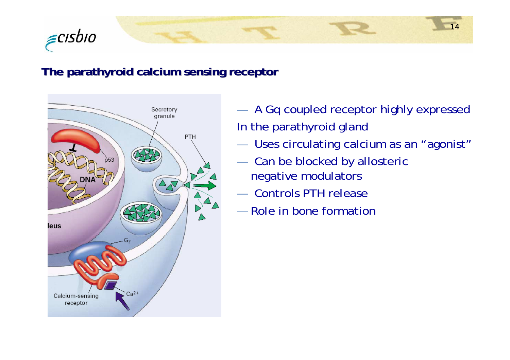

#### **The parathyroid calcium sensing receptor The parathyroid calcium sensing receptor**



and the state of the state of the A Gq coupled receptor highly expressed In the parathyroid gland

- —Uses circulating calcium as an "agonist"
- — Can be blocked by allosteric negative modulators
- —Controls PTH release
- —Role in bone formation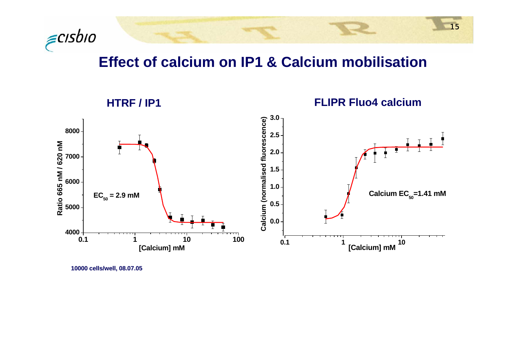

## **Effect of calcium on IP1 & Calcium mobilisation**

15



**10000 cells/well, 08.07.05**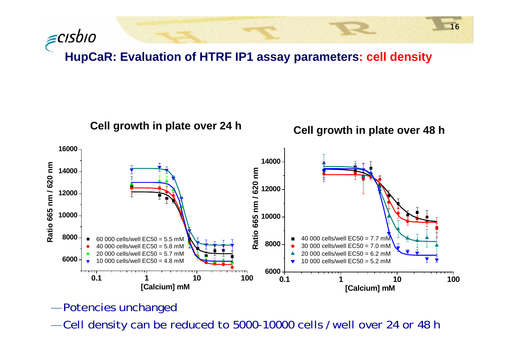∈cısbıo **HupCaR: Evaluation of HTRF IP1 assay parameters: cell density**



- —Potencies unchanged
- and the state of the state of the  $-$  Cell density can be reduced to 5000-10000 cells /well over 24 or 48 h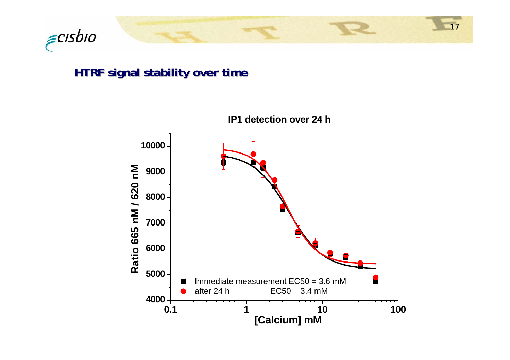

### **HTRF signal stability over time HTRF signal stability over time**



**IP1 detection over 24 h**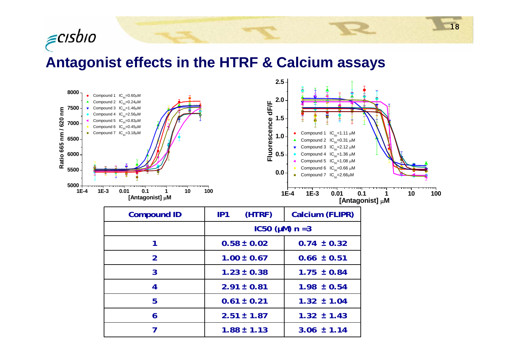

## **Antagonist effects in the HTRF & Calcium assays**



| <b>Compound ID</b> | (HTRF)<br>IP1     | Calcium (FLIPR) |  |
|--------------------|-------------------|-----------------|--|
|                    | $IC50 (µM) n = 3$ |                 |  |
|                    | $0.58 \pm 0.02$   | $0.74 \pm 0.32$ |  |
| $\overline{2}$     | $1.00 \pm 0.67$   | $0.66 \pm 0.51$ |  |
| 3                  | $1.23 \pm 0.38$   | $1.75 \pm 0.84$ |  |
| 4                  | $2.91 \pm 0.81$   | $1.98 \pm 0.54$ |  |
| 5                  | $0.61 \pm 0.21$   | $1.32 \pm 1.04$ |  |
| 6                  | $2.51 \pm 1.87$   | $1.32 \pm 1.43$ |  |
|                    | $1.88 \pm 1.13$   | $3.06 \pm 1.14$ |  |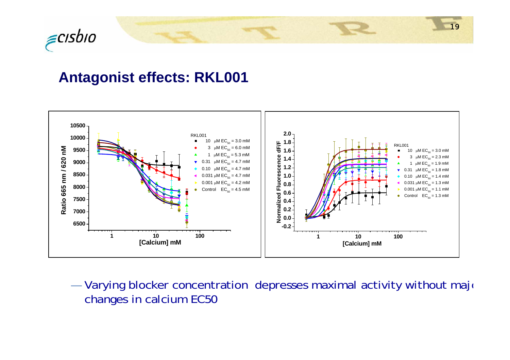

## **Antagonist effects: RKL001**



———————  $-$  Varying blocker concentration depresses maximal activity without major changes in calcium EC50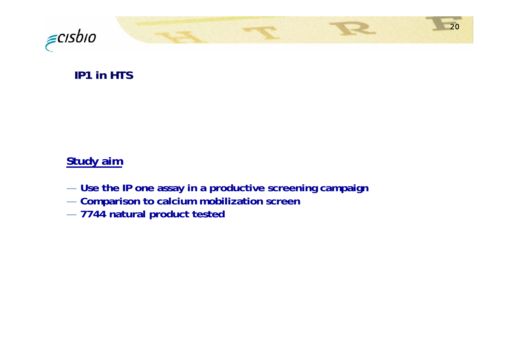

## **IP1 in HTS IP1 in HTS**

### **Study aim**

— **Use the IP one assay in a productive screening campaign**

- **Comparison to calcium mobilization screen**
- **7744 natural product tested**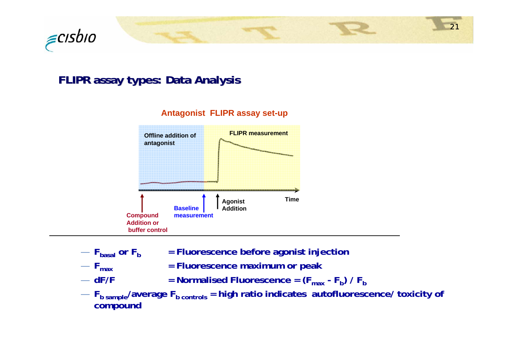

### **FLIPR assay types: Data Analysis FLIPR assay types: Data Analysis**



- **Fbasal***<u>Fluorescence before agonist injection</u>*
- $F_{\text{max}}$
- $-$  dF/F
- **= Fluorescence maximum or peak**
- $-$  dF/F  $-$  **= Normalised Fluorescence = (F** $_{\text{max}}$  **F<sub>b</sub>) / F<sub>b</sub>**
- $-$  F<sub>b sample</sub>/average F<sub>b controls</sub> = high ratio indicates autofluorescence/ toxicity of **compound**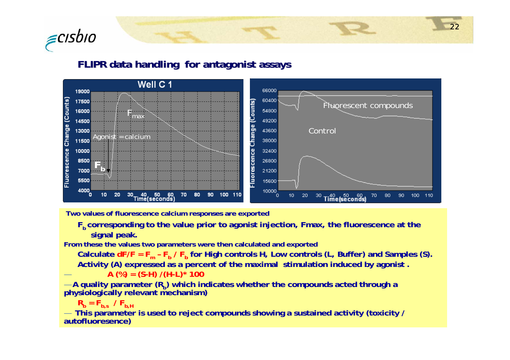

#### **FLIPR data handling for antagonist assays FLIPR data handling for antagonist assays**



**Two values of fluorescence calcium responses are exported** 

**Fb corresponding to the value prior to agonist injection, Fmax, the fluorescence at the signal peak.**

**From these the values two parameters were then calculated and exported** 

**Calculate dF/F = F m – Fb / Fb for High controls H, Low controls (L, Buffer) and Samples (S). Activity (A) expressed as a percent of the maximal stimulation induced by agonist .** 

**A (%) = (S-H) /(H-L)\* 100** 

— A quality parameter (R<sub>b</sub>) which indicates whether the compounds acted through a<br>physiologically relevant mechanism)

 $\mathsf{R}_{\mathsf{b}}$  =  $\mathsf{F}_{\mathsf{b},\mathsf{s}}$  /  $\mathsf{F}_{\mathsf{b},\mathsf{H}}$ 

—

— **This parameter is used to reject compounds showing a sustained activity (toxicity / autofluoresence)**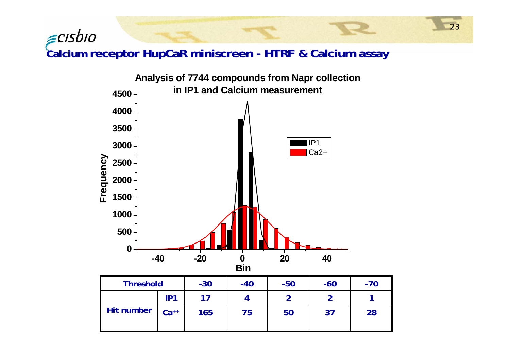Calcium receptor HupCaR miniscreen - HTRF & Calcium assay

 $\epsilon$ cisbio

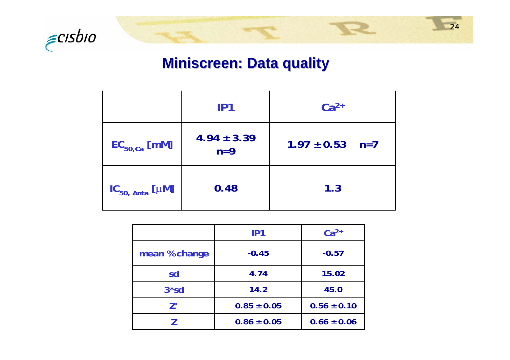

## **Miniscreen Miniscreen: Data quality : Data quality**

|                            | IP1                      | $Ca^{2+}$           |
|----------------------------|--------------------------|---------------------|
| $EC_{50,Ca}$ [mM]          | $4.94 \pm 3.39$<br>$n=9$ | $1.97 \pm 0.53$ n=7 |
| $IC_{50, Anta}$ [ $\mu$ M] | 0.48                     | 1.3                 |

|               | IP1             | $Ca2+$          |
|---------------|-----------------|-----------------|
| mean % change | $-0.45$         | $-0.57$         |
| sd            | 4.74            | 15.02           |
| $3*sd$        | 14.2            | 45.0            |
| 7'            | $0.85 \pm 0.05$ | $0.56 \pm 0.10$ |
|               | $0.86 \pm 0.05$ | $0.66 \pm 0.06$ |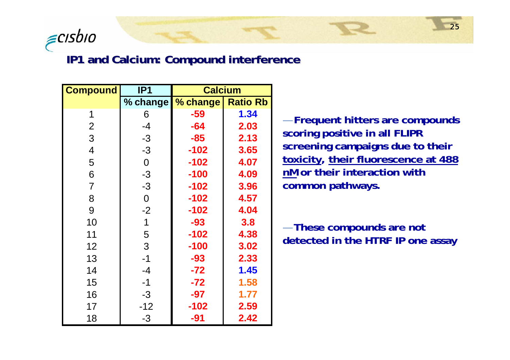

#### **IP1 and Calcium: Compound interference**

| <b>Compound</b> | IP <sub>1</sub> | <b>Calcium</b> |                 |
|-----------------|-----------------|----------------|-----------------|
|                 | % change        | % change       | <b>Ratio Rb</b> |
| 1               | 6               | -59            | 1.34            |
| $\overline{2}$  | $-4$            | $-64$          | 2.03            |
| 3               | $-3$            | $-85$          | 2.13            |
| $\overline{4}$  | $-3$            | $-102$         | 3.65            |
| 5               | $\overline{0}$  | $-102$         | 4.07            |
| 6               | $-3$            | $-100$         | 4.09            |
| $\overline{7}$  | $-3$            | $-102$         | 3.96            |
| 8               | $\theta$        | $-102$         | 4.57            |
| 9               | $-2$            | $-102$         | 4.04            |
| 10              | 1               | $-93$          | 3.8             |
| 11              | 5               | $-102$         | 4.38            |
| 12              | 3               | $-100$         | 3.02            |
| 13              | $-1$            | $-93$          | 2.33            |
| 14              | $-4$            | $-72$          | 1.45            |
| 15              | $-1$            | $-72$          | 1.58            |
| 16              | $-3$            | $-97$          | 1.77            |
| 17              | $-12$           | $-102$         | 2.59            |
| 18              | -3              | $-91$          | 2.42            |

— **Frequent hitters are compounds scoring positive in all FLIPR screening campaigns due to their toxicity, their fluorescence at 488 nM or their interaction with common pathways.**

— **These compounds are not detected in the HTRF IP one assay**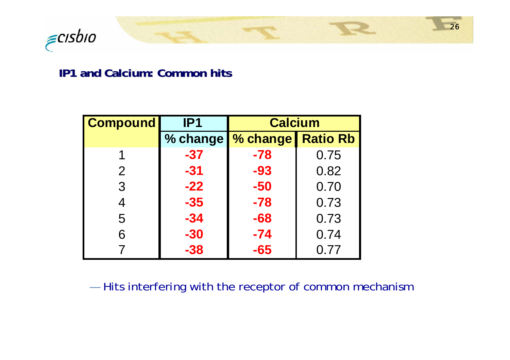

#### **IP1 and Calcium: Common hits IP1 and Calcium: Common hits**

| <b>Compound</b> | IP1      | <b>Calcium</b> |                 |
|-----------------|----------|----------------|-----------------|
|                 | % change | % change       | <b>Ratio Rb</b> |
| 1               | $-37$    | $-78$          | 0.75            |
| $\overline{2}$  | $-31$    | -93            | 0.82            |
| 3               | $-22$    | $-50$          | 0.70            |
| 4               | $-35$    | $-78$          | 0.73            |
| 5               | $-34$    | $-68$          | 0.73            |
| 6               | $-30$    | $-74$          | 0.74            |
|                 | -38      | -65            | 0.77            |

— $-$  Hits interfering with the receptor of common mechanism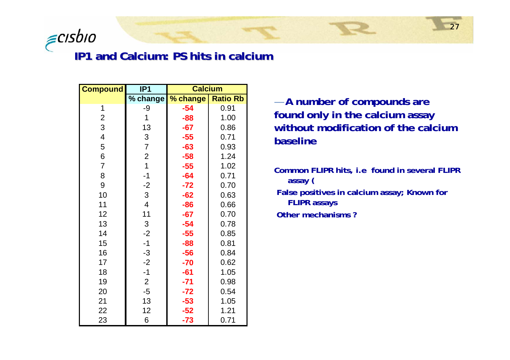

#### **IP1 and Calcium: PS hits in calcium IP1 and Calcium: PS hits in calcium**

| <b>Compound</b>         | IP <sub>1</sub>         | <b>Calcium</b> |                 |
|-------------------------|-------------------------|----------------|-----------------|
|                         | % change                | % change       | <b>Ratio Rb</b> |
| 1                       | -9                      | $-54$          | 0.91            |
| $\overline{2}$          | 1                       | $-88$          | 1.00            |
| 3                       | 13                      | $-67$          | 0.86            |
| $\overline{\mathbf{4}}$ | $\mathfrak 3$           | $-55$          | 0.71            |
| 5                       | $\overline{7}$          | $-63$          | 0.93            |
| 6                       | $\overline{c}$          | $-58$          | 1.24            |
| $\overline{7}$          | $\overline{1}$          | $-55$          | 1.02            |
| 8                       | $-1$                    | $-64$          | 0.71            |
| 9                       | $-2$                    | $-72$          | 0.70            |
| 10                      | $\mathfrak{S}$          | $-62$          | 0.63            |
| 11                      | $\overline{\mathbf{4}}$ | $-86$          | 0.66            |
| 12                      | 11                      | $-67$          | 0.70            |
| 13                      | $\mathfrak{S}$          | $-54$          | 0.78            |
| 14                      | $-2$                    | $-55$          | 0.85            |
| 15                      | $-1$                    | $-88$          | 0.81            |
| 16                      | $-3$                    | $-56$          | 0.84            |
| 17                      | $-2$                    | $-70$          | 0.62            |
| 18                      | $-1$                    | $-61$          | 1.05            |
| 19                      | $\overline{2}$          | $-71$          | 0.98            |
| 20                      | $-5$                    | $-72$          | 0.54            |
| 21                      | 13                      | $-53$          | 1.05            |
| 22                      | 12                      | $-52$          | 1.21            |
| 23                      | 6                       | $-73$          | 0.71            |

— **A number of compounds are found only in the calcium assay without modification of the calcium baseline**

**Common FLIPR hits, i.e found in several FLIPR assay ( False positives in calcium assay; Known for FLIPR assays**

**Other mechanisms ?**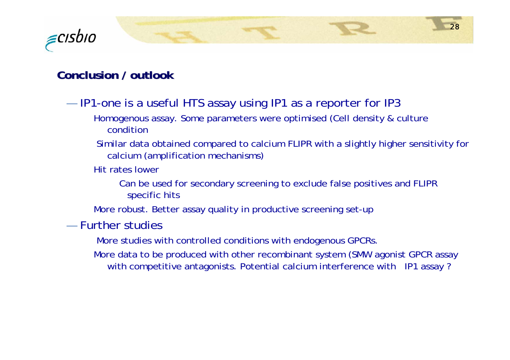

#### **Conclusion / outlook Conclusion / outlook**

- — $-$  IP1-one is a useful HTS assay using IP1 as a reporter for IP3  $\,$ 
	- Homogenous assay. Some parameters were optimised (Cell density & culture condition
	- Similar data obtained compared to calcium FLIPR with a slightly higher sensitivity for calcium (amplification mechanisms)
	- Hit rates lower
		- Can be used for secondary screening to exclude false positives and FLIPR specific hits
	- More robust. Better assay quality in productive screening set-up
- Further studies
	- More studies with controlled conditions with endogenous GPCRs.
	- More data to be produced with other recombinant system (SMW agonist GPCR assay with competitive antagonists. Potential calcium interference with IP1 assay ?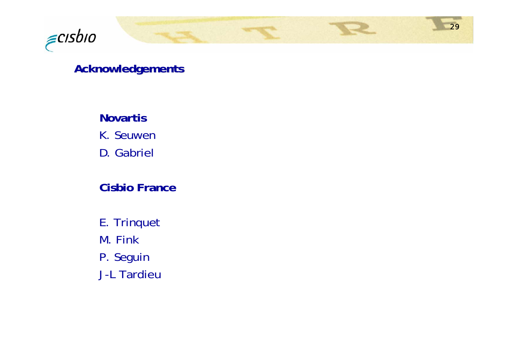

### **Acknowledgements Acknowledgements**

**Novartis** K. Seuwen

D. Gabriel

### **Cisbio France**

E. Trinquet

M. Fink

P. Seguin

J-L Tardieu